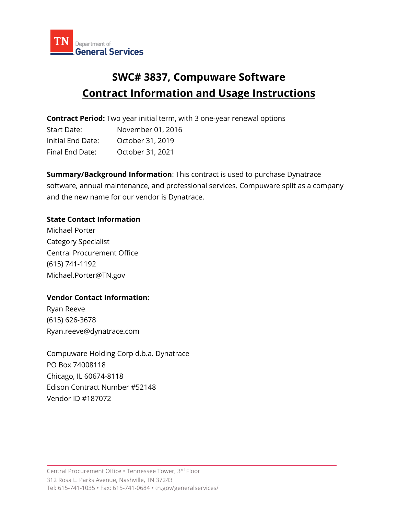

# **SWC# 3837, Compuware Software Contract Information and Usage Instructions**

**Contract Period:** Two year initial term, with 3 one-year renewal options

| Start Date:       | November 01, 2016 |
|-------------------|-------------------|
| Initial End Date: | October 31, 2019  |
| Final End Date:   | October 31, 2021  |

**Summary/Background Information**: This contract is used to purchase Dynatrace software, annual maintenance, and professional services. Compuware split as a company and the new name for our vendor is Dynatrace.

## **State Contact Information**

Michael Porter Category Specialist Central Procurement Office (615) 741-1192 Michael.Porter@TN.gov

### **Vendor Contact Information:**

Ryan Reeve (615) 626-3678 Ryan.reeve@dynatrace.com

Compuware Holding Corp d.b.a. Dynatrace PO Box 74008118 Chicago, IL 60674-8118 Edison Contract Number #52148 Vendor ID #187072